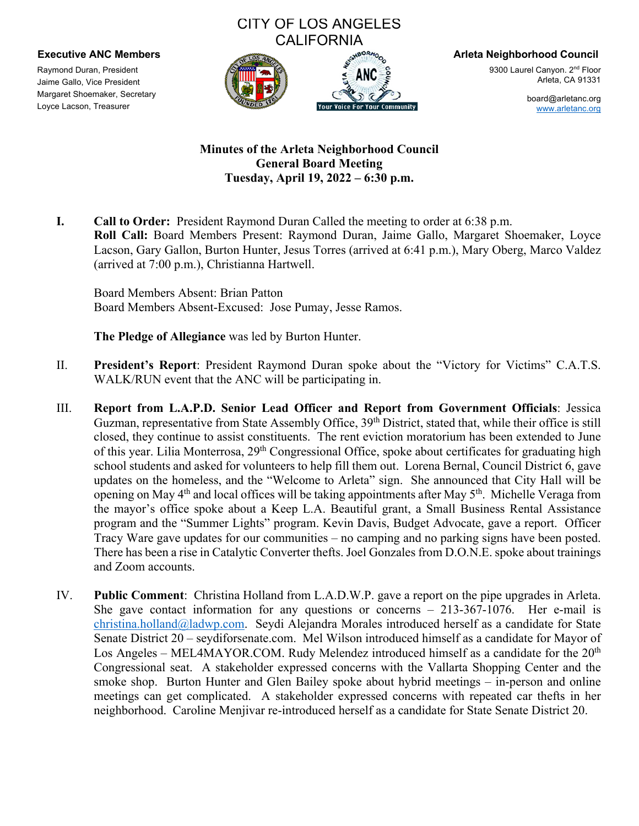## CITY OF LOS ANGELES **CALIFORNIA**



9300 Laurel Canyon. 2<sup>nd</sup> Floor Arleta, CA 91331

> board@arletanc.org www.arletanc.org

## **Minutes of the Arleta Neighborhood Council General Board Meeting Tuesday, April 19, 2022 – 6:30 p.m.**

**I. Call to Order:** President Raymond Duran Called the meeting to order at 6:38 p.m. **Roll Call:** Board Members Present: Raymond Duran, Jaime Gallo, Margaret Shoemaker, Loyce Lacson, Gary Gallon, Burton Hunter, Jesus Torres (arrived at 6:41 p.m.), Mary Oberg, Marco Valdez (arrived at 7:00 p.m.), Christianna Hartwell.

Board Members Absent: Brian Patton Board Members Absent-Excused: Jose Pumay, Jesse Ramos.

**The Pledge of Allegiance** was led by Burton Hunter.

- II. **President's Report**: President Raymond Duran spoke about the "Victory for Victims" C.A.T.S. WALK/RUN event that the ANC will be participating in.
- III. **Report from L.A.P.D. Senior Lead Officer and Report from Government Officials**: Jessica Guzman, representative from State Assembly Office, 39<sup>th</sup> District, stated that, while their office is still closed, they continue to assist constituents. The rent eviction moratorium has been extended to June of this year. Lilia Monterrosa, 29<sup>th</sup> Congressional Office, spoke about certificates for graduating high school students and asked for volunteers to help fill them out. Lorena Bernal, Council District 6, gave updates on the homeless, and the "Welcome to Arleta" sign. She announced that City Hall will be opening on May  $4<sup>th</sup>$  and local offices will be taking appointments after May  $5<sup>th</sup>$ . Michelle Veraga from the mayor's office spoke about a Keep L.A. Beautiful grant, a Small Business Rental Assistance program and the "Summer Lights" program. Kevin Davis, Budget Advocate, gave a report. Officer Tracy Ware gave updates for our communities – no camping and no parking signs have been posted. There has been a rise in Catalytic Converter thefts. Joel Gonzales from D.O.N.E. spoke about trainings and Zoom accounts.
- IV. **Public Comment**: Christina Holland from L.A.D.W.P. gave a report on the pipe upgrades in Arleta. She gave contact information for any questions or concerns  $-213-367-1076$ . Her e-mail is christina.holland@ladwp.com. Seydi Alejandra Morales introduced herself as a candidate for State Senate District 20 – seydiforsenate.com. Mel Wilson introduced himself as a candidate for Mayor of Los Angeles – MEL4MAYOR.COM. Rudy Melendez introduced himself as a candidate for the  $20<sup>th</sup>$ Congressional seat. A stakeholder expressed concerns with the Vallarta Shopping Center and the smoke shop. Burton Hunter and Glen Bailey spoke about hybrid meetings – in-person and online meetings can get complicated. A stakeholder expressed concerns with repeated car thefts in her neighborhood. Caroline Menjivar re-introduced herself as a candidate for State Senate District 20.

Raymond Duran, President Jaime Gallo, Vice President Margaret Shoemaker, Secretary Loyce Lacson, Treasurer